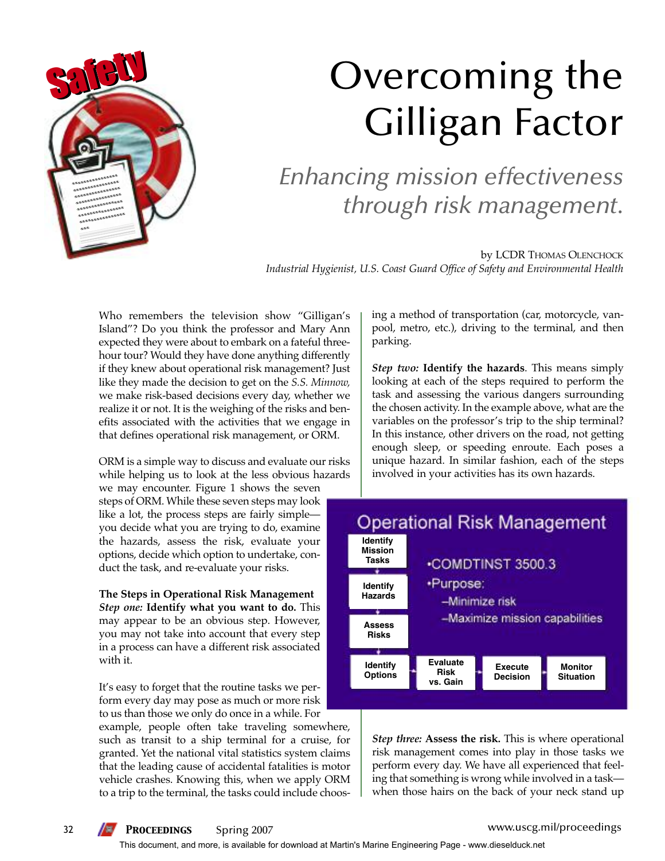

# Overcoming the Gilligan Factor

*Enhancing mission effectiveness through risk management.*

by LCDR THOMAS OLENCHOCK *Industrial Hygienist, U.S. Coast Guard Office of Safety and Environmental Health*

Who remembers the television show "Gilligan's Island"? Do you think the professor and Mary Ann expected they were about to embark on a fateful threehour tour? Would they have done anything differently if they knew about operational risk management? Just like they made the decision to get on the *S.S. Minnow,* we make risk-based decisions every day, whether we realize it or not. It is the weighing of the risks and benefits associated with the activities that we engage in that defines operational risk management, or ORM.

ORM is a simple way to discuss and evaluate our risks while helping us to look at the less obvious hazards

we may encounter. Figure 1 shows the seven steps of ORM. While these seven steps may look like a lot, the process steps are fairly simple you decide what you are trying to do, examine the hazards, assess the risk, evaluate your options, decide which option to undertake, conduct the task, and re-evaluate your risks.

**The Steps in Operational Risk Management** *Step one:* **Identify what you want to do.** This may appear to be an obvious step. However, you may not take into account that every step in a process can have a different risk associated with it.

It's easy to forget that the routine tasks we perform every day may pose as much or more risk to us than those we only do once in a while. For

example, people often take traveling somewhere, such as transit to a ship terminal for a cruise, for granted. Yet the national vital statistics system claims that the leading cause of accidental fatalities is motor vehicle crashes. Knowing this, when we apply ORM to a trip to the terminal, the tasks could include choosing a method of transportation (car, motorcycle, vanpool, metro, etc.), driving to the terminal, and then parking.

*Step two:* **Identify the hazards**. This means simply looking at each of the steps required to perform the task and assessing the various dangers surrounding the chosen activity. In the example above, what are the variables on the professor's trip to the ship terminal? In this instance, other drivers on the road, not getting enough sleep, or speeding enroute. Each poses a unique hazard. In similar fashion, each of the steps involved in your activities has its own hazards.



*Step three:* **Assess the risk.** This is where operational risk management comes into play in those tasks we perform every day. We have all experienced that feeling that something is wrong while involved in a task when those hairs on the back of your neck stand up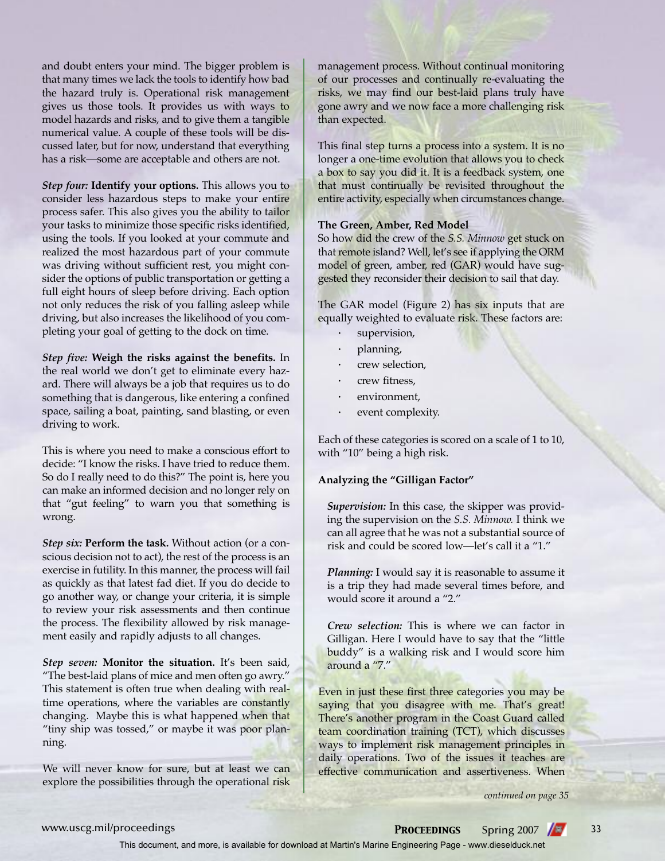and doubt enters your mind. The bigger problem is that many times we lack the tools to identify how bad the hazard truly is. Operational risk management gives us those tools. It provides us with ways to model hazards and risks, and to give them a tangible numerical value. A couple of these tools will be discussed later, but for now, understand that everything has a risk—some are acceptable and others are not.

*Step four:* **Identify your options.** This allows you to consider less hazardous steps to make your entire process safer. This also gives you the ability to tailor your tasks to minimize those specific risks identified, using the tools. If you looked at your commute and realized the most hazardous part of your commute was driving without sufficient rest, you might consider the options of public transportation or getting a full eight hours of sleep before driving. Each option not only reduces the risk of you falling asleep while driving, but also increases the likelihood of you completing your goal of getting to the dock on time.

*Step five:* **Weigh the risks against the benefits.** In the real world we don't get to eliminate every hazard. There will always be a job that requires us to do something that is dangerous, like entering a confined space, sailing a boat, painting, sand blasting, or even driving to work.

This is where you need to make a conscious effort to decide: "I know the risks. I have tried to reduce them. So do I really need to do this?" The point is, here you can make an informed decision and no longer rely on that "gut feeling" to warn you that something is wrong.

*Step six:* **Perform the task.** Without action (or a conscious decision not to act), the rest of the process is an exercise in futility. In this manner, the process will fail as quickly as that latest fad diet. If you do decide to go another way, or change your criteria, it is simple to review your risk assessments and then continue the process. The flexibility allowed by risk management easily and rapidly adjusts to all changes.

*Step seven:* **Monitor the situation.** It's been said, "The best-laid plans of mice and men often go awry." This statement is often true when dealing with realtime operations, where the variables are constantly changing. Maybe this is what happened when that "tiny ship was tossed," or maybe it was poor planning.

We will never know for sure, but at least we can explore the possibilities through the operational risk management process. Without continual monitoring of our processes and continually re-evaluating the risks, we may find our best-laid plans truly have gone awry and we now face a more challenging risk than expected.

This final step turns a process into a system. It is no longer a one-time evolution that allows you to check a box to say you did it. It is a feedback system, one that must continually be revisited throughout the entire activity, especially when circumstances change.

#### **The Green, Amber, Red Model**

So how did the crew of the *S.S. Minnow* get stuck on that remote island? Well, let's see if applying the ORM model of green, amber, red (GAR) would have suggested they reconsider their decision to sail that day.

The GAR model (Figure 2) has six inputs that are equally weighted to evaluate risk. These factors are:

- **·** supervision,
- **·** planning,
- **·** crew selection,
- **·** crew fitness,
- **·** environment,
- **·** event complexity.

Each of these categories is scored on a scale of 1 to 10, with "10" being a high risk.

#### **Analyzing the "Gilligan Factor"**

*Supervision:* In this case, the skipper was providing the supervision on the *S.S. Minnow.* I think we can all agree that he was not a substantial source of risk and could be scored low—let's call it a "1."

*Planning:* I would say it is reasonable to assume it is a trip they had made several times before, and would score it around a "2."

*Crew selection:* This is where we can factor in Gilligan. Here I would have to say that the "little buddy" is a walking risk and I would score him around a "7."

Even in just these first three categories you may be saying that you disagree with me. That's great! There's another program in the Coast Guard called team coordination training (TCT), which discusses ways to implement risk management principles in daily operations. Two of the issues it teaches are effective communication and assertiveness. When

*continued on page 35*

### www.uscg.mil/proceedings **PROCEEDINGS** Spring 2007 33

This document, and more, is available for download at Martin's Marine Engineering Page - www.dieselduck.net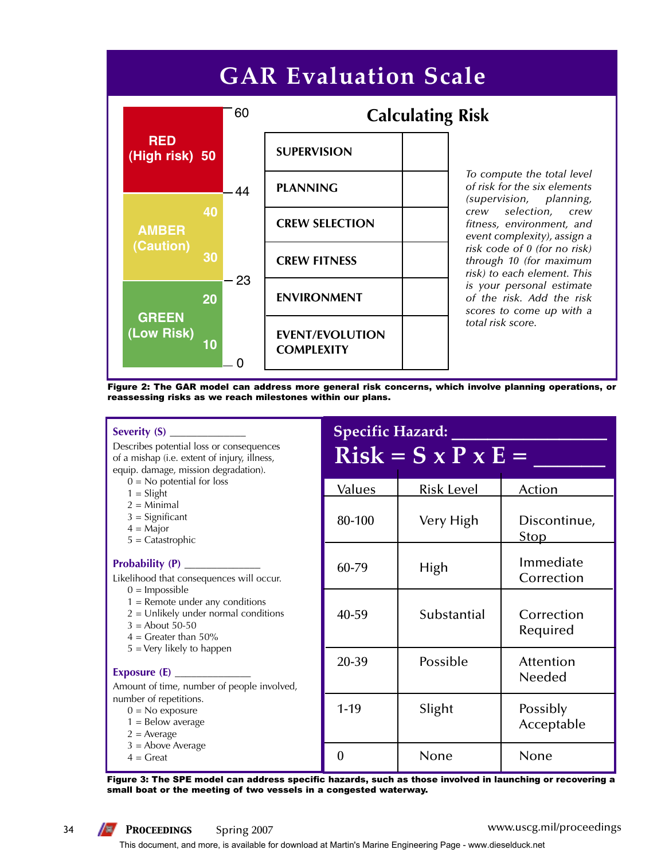## **GAR Evaluation Scale**



*To compute the total level of risk for the six elements (supervision, planning, crew selection, crew fitness, environment, and event complexity), assign a risk code of 0 (for no risk) through 10 (for maximum risk) to each element. This is your personal estimate of the risk. Add the risk scores to come up with a total risk score.* 

Figure 2: The GAR model can address more general risk concerns, which involve planning operations, or reassessing risks as we reach milestones within our plans.

#### **Severity (S)** \_\_\_\_\_\_\_\_\_\_\_\_\_\_

Describes potential loss or consequences of a mishap (i.e. extent of injury, illness, equip. damage, mission degradation).

- $0 = No$  potential for loss
- $1 = S$ light
- $2 =$ Minimal
- $3 =$  Significant
- $4 =$ Major
- 5 = Catastrophic

#### Probability (P) \_

Likelihood that consequences will occur.

- $0 =$  Impossible
- $1 =$  Remote under any conditions
- $2 =$  Unlikely under normal conditions
- $3 =$  About 50-50
- $4 =$  Greater than 50%
- 5 = Very likely to happen

#### Exposure (E) \_

Amount of time, number of people involved, number of repetitions.

- $0 = No$  exposure
- $1 =$  Below average
- $2 = Average$
- 3 = Above Average
- $4 =$  Great

| <b>Specific Hazard:</b><br>$Risk = S \times P \times E =$ |                   |                             |  |  |
|-----------------------------------------------------------|-------------------|-----------------------------|--|--|
| Values                                                    | <b>Risk Level</b> | Action                      |  |  |
| 80-100                                                    | Very High         | Discontinue,<br><u>Stop</u> |  |  |
| 60-79                                                     | High              | Immediate<br>Correction     |  |  |
| 40-59                                                     | Substantial       | Correction<br>Required      |  |  |
| 20-39                                                     | Possible          | Attention<br>Needed         |  |  |
| $1 - 19$                                                  | Slight            | Possibly<br>Acceptable      |  |  |
|                                                           | None              | None                        |  |  |

Figure 3: The SPE model can address specific hazards, such as those involved in launching or recovering a small boat or the meeting of two vessels in a congested waterway.

This document, and more, is available for download at Martin's Marine Engineering Page - www.dieselduck.net